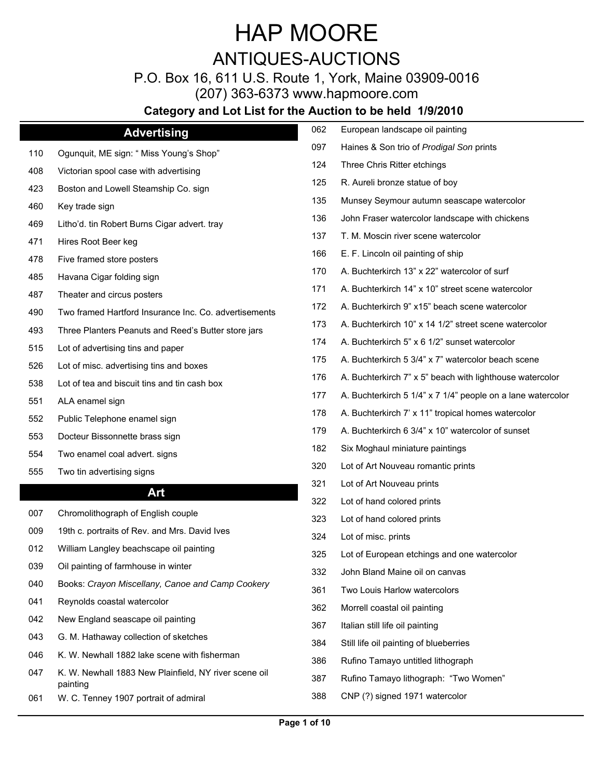## ANTIQUES-AUCTIONS

P.O. Box 16, 611 U.S. Route 1, York, Maine 03909-0016

(207) 363-6373 www.hapmoore.com

|     | <b>Advertising</b>                                                                                                                                                                                                                                                              | 062 | European landscape oil painting                                           |
|-----|---------------------------------------------------------------------------------------------------------------------------------------------------------------------------------------------------------------------------------------------------------------------------------|-----|---------------------------------------------------------------------------|
| 110 | Ogunquit, ME sign: " Miss Young's Shop"                                                                                                                                                                                                                                         | 097 | Haines & Son trio of $\hat{U}/\hat{A}$ * $\hat{E}/\hat{U}/\hat{A}$ prints |
| 408 | Victorian spool case with advertising                                                                                                                                                                                                                                           | 124 | Three Chris Ritter etchings                                               |
| 423 | Boston and Lowell Steamship Co. sign                                                                                                                                                                                                                                            | 125 | R. Aureli bronze statue of boy                                            |
| 460 | Key trade sign                                                                                                                                                                                                                                                                  | 135 | Munsey Seymour autumn seascape watercolor                                 |
| 469 | Litho'd. tin Robert Burns Cigar advert. tray                                                                                                                                                                                                                                    | 136 | John Fraser watercolor landscape with chickens                            |
| 471 | Hires Root Beer keg                                                                                                                                                                                                                                                             | 137 | T. M. Moscin river scene watercolor                                       |
| 478 | Five framed store posters                                                                                                                                                                                                                                                       | 166 | E. F. Lincoln oil painting of ship                                        |
| 485 | Havana Cigar folding sign                                                                                                                                                                                                                                                       | 170 | A. Buchterkirch 13" x 22" watercolor of surf                              |
| 487 | Theater and circus posters                                                                                                                                                                                                                                                      | 171 | A. Buchterkirch 14" x 10" street scene watercolor                         |
| 490 | Two framed Hartford Insurance Inc. Co. advertisements                                                                                                                                                                                                                           | 172 | A. Buchterkirch 9" x15" beach scene watercolor                            |
| 493 | Three Planters Peanuts and Reed's Butter store jars                                                                                                                                                                                                                             | 173 | A. Buchterkirch 10" x 14 1/2" street scene watercolor                     |
| 515 | Lot of advertising tins and paper                                                                                                                                                                                                                                               | 174 | A. Buchterkirch 5" x 6 1/2" sunset watercolor                             |
| 526 | Lot of misc. advertising tins and boxes                                                                                                                                                                                                                                         | 175 | A. Buchterkirch 5 3/4" x 7" watercolor beach scene                        |
| 538 | Lot of tea and biscuit tins and tin cash box                                                                                                                                                                                                                                    | 176 | A. Buchterkirch 7" x 5" beach with lighthouse watercolor                  |
| 551 | ALA enamel sign                                                                                                                                                                                                                                                                 | 177 | A. Buchterkirch 5 1/4" x 7 1/4" people on a lane watercolor               |
| 552 | Public Telephone enamel sign                                                                                                                                                                                                                                                    | 178 | A. Buchterkirch 7' x 11" tropical homes watercolor                        |
| 553 | Docteur Bissonnette brass sign                                                                                                                                                                                                                                                  | 179 | A. Buchterkirch 6 3/4" x 10" watercolor of sunset                         |
| 554 | Two enamel coal advert. signs                                                                                                                                                                                                                                                   | 182 | Six Moghaul miniature paintings                                           |
| 555 | Two tin advertising signs                                                                                                                                                                                                                                                       | 320 | Lot of Art Nouveau romantic prints                                        |
|     |                                                                                                                                                                                                                                                                                 | 321 | Lot of Art Nouveau prints                                                 |
|     | Art                                                                                                                                                                                                                                                                             | 322 | Lot of hand colored prints                                                |
| 007 | Chromolithograph of English couple                                                                                                                                                                                                                                              | 323 | Lot of hand colored prints                                                |
| 009 | 19th c. portraits of Rev. and Mrs. David Ives                                                                                                                                                                                                                                   | 324 | Lot of misc. prints                                                       |
| 012 | William Langley beachscape oil painting                                                                                                                                                                                                                                         | 325 | Lot of European etchings and one watercolor                               |
| 039 | Oil painting of farmhouse in winter                                                                                                                                                                                                                                             | 332 | John Bland Maine oil on canvas                                            |
| 040 | Books: $\hat{O}$ /æ $\hat{I}$ ] $\hat{A}$ $\hat{I}$ $\hat{a}$ $\bullet$ & $\hat{A}$ / $\hat{a}$ æ $\hat{B}$ $I$ $\hat{A}$ / $\hat{B}$ $\hat{B}$ $\hat{B}$ $\hat{C}$ $I$ $I$ $\hat{C}$ $I$ $I$ $\hat{C}$ $I$ $I$ $\hat{C}$ $I$ $I$ $\hat{C}$ $I$ $I$ $\hat{C}$ $I$ $I$ $\hat{C}$ | 361 | Two Louis Harlow watercolors                                              |
| 041 | Reynolds coastal watercolor                                                                                                                                                                                                                                                     | 362 | Morrell coastal oil painting                                              |
| 042 | New England seascape oil painting                                                                                                                                                                                                                                               | 367 | Italian still life oil painting                                           |
| 043 | G. M. Hathaway collection of sketches                                                                                                                                                                                                                                           | 384 | Still life oil painting of blueberries                                    |
| 046 | K. W. Newhall 1882 lake scene with fisherman                                                                                                                                                                                                                                    | 386 | Rufino Tamayo untitled lithograph                                         |
|     |                                                                                                                                                                                                                                                                                 |     |                                                                           |
| 047 | K. W. Newhall 1883 New Plainfield, NY river scene oil                                                                                                                                                                                                                           | 387 | Rufino Tamayo lithograph: "Two Women"                                     |
| 061 | painting<br>W. C. Tenney 1907 portrait of admiral                                                                                                                                                                                                                               | 388 | CNP (?) signed 1971 watercolor                                            |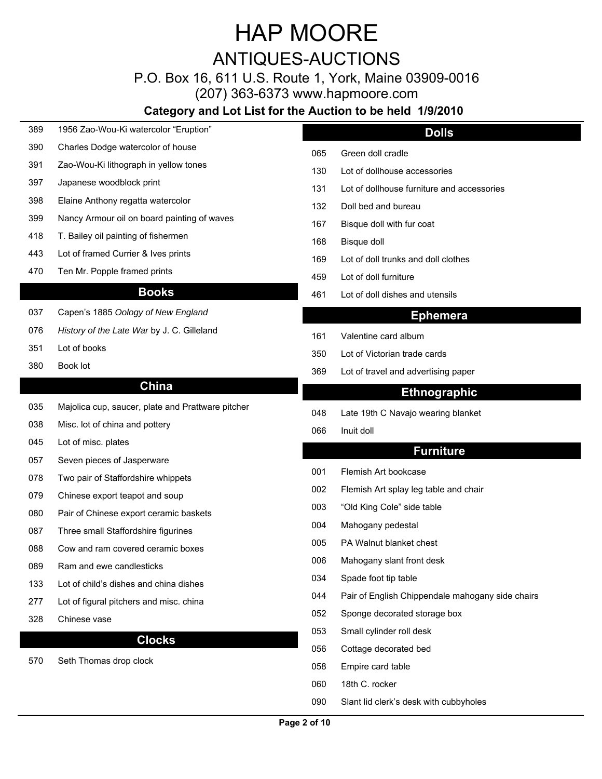### ANTIQUES-AUCTIONS

P.O. Box 16, 611 U.S. Route 1, York, Maine 03909-0016

(207) 363-6373 www.hapmoore.com

| 389 | 1956 Zao-Wou-Ki watercolor "Eruption"               |     | <b>Dolls</b>                                     |
|-----|-----------------------------------------------------|-----|--------------------------------------------------|
| 390 | Charles Dodge watercolor of house                   | 065 | Green doll cradle                                |
| 391 | Zao-Wou-Ki lithograph in yellow tones               | 130 | Lot of dollhouse accessories                     |
| 397 | Japanese woodblock print                            | 131 | Lot of dollhouse furniture and accessories       |
| 398 | Elaine Anthony regatta watercolor                   | 132 | Doll bed and bureau                              |
| 399 | Nancy Armour oil on board painting of waves         | 167 | Bisque doll with fur coat                        |
| 418 | T. Bailey oil painting of fishermen                 | 168 | Bisque doll                                      |
| 443 | Lot of framed Currier & Ives prints                 | 169 | Lot of doll trunks and doll clothes              |
| 470 | Ten Mr. Popple framed prints                        | 459 | Lot of doll furniture                            |
|     | <b>Books</b>                                        | 461 | Lot of doll dishes and utensils                  |
| 037 | Capen's 1885 U[ [ * ^A [ -A   D ^ , A O } *   x } a |     | <b>Ephemera</b>                                  |
| 076 | Pi•c[¦^Á[-Ác@^ÁŠæc^Á Yæ¦ by J. C. Gilleland         | 161 | Valentine card album                             |
| 351 | Lot of books                                        | 350 | Lot of Victorian trade cards                     |
| 380 | Book lot                                            | 369 | Lot of travel and advertising paper              |
|     | <b>China</b>                                        |     | <b>Ethnographic</b>                              |
| 035 | Majolica cup, saucer, plate and Prattware pitcher   | 048 | Late 19th C Navajo wearing blanket               |
| 038 | Misc. lot of china and pottery                      | 066 | Inuit doll                                       |
| 045 | Lot of misc. plates                                 |     | <b>Furniture</b>                                 |
| 057 | Seven pieces of Jasperware                          |     |                                                  |
| 078 | Two pair of Staffordshire whippets                  | 001 | Flemish Art bookcase                             |
| 079 | Chinese export teapot and soup                      | 002 | Flemish Art splay leg table and chair            |
| 080 | Pair of Chinese export ceramic baskets              | 003 | "Old King Cole" side table                       |
| 087 | Three small Staffordshire figurines                 | 004 | Mahogany pedestal                                |
| 088 | Cow and ram covered ceramic boxes                   | 005 | PA Walnut blanket chest                          |
| 089 | Ram and ewe candlesticks                            | 006 | Mahogany slant front desk                        |
| 133 | Lot of child's dishes and china dishes              | 034 | Spade foot tip table                             |
| 277 | Lot of figural pitchers and misc. china             | 044 | Pair of English Chippendale mahogany side chairs |
| 328 | Chinese vase                                        | 052 | Sponge decorated storage box                     |
|     | <b>Clocks</b>                                       | 053 | Small cylinder roll desk                         |
| 570 | Seth Thomas drop clock                              | 056 | Cottage decorated bed                            |
|     |                                                     | 058 | Empire card table                                |
|     |                                                     | 060 | 18th C. rocker                                   |
|     |                                                     | 090 | Slant lid clerk's desk with cubbyholes           |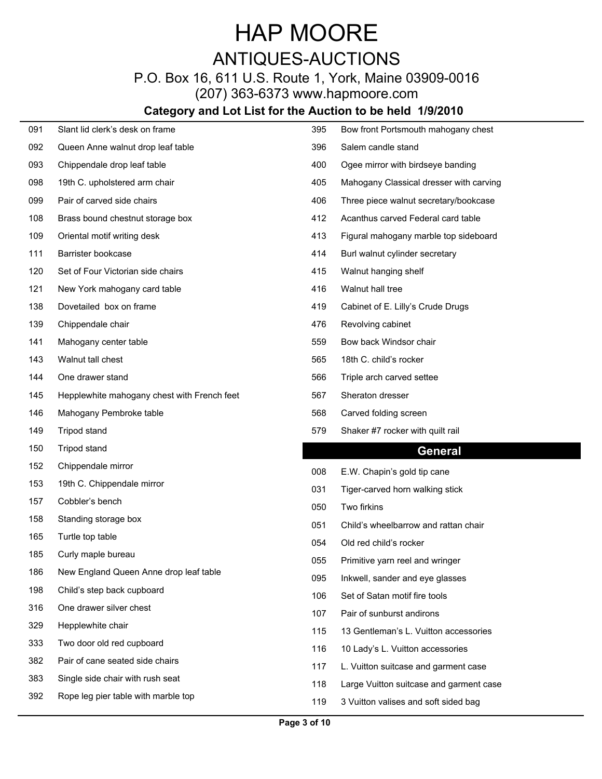P.O. Box 16, 611 U.S. Route 1, York, Maine 03909-0016 (207) 363-6373 www.hapmoore.com

| 091 | Slant lid clerk's desk on frame             | 395          | Bow front Portsmouth mahogany chest     |
|-----|---------------------------------------------|--------------|-----------------------------------------|
| 092 | Queen Anne walnut drop leaf table           | 396          | Salem candle stand                      |
| 093 | Chippendale drop leaf table                 | 400          | Ogee mirror with birdseye banding       |
| 098 | 19th C. upholstered arm chair               | 405          | Mahogany Classical dresser with carving |
| 099 | Pair of carved side chairs                  | 406          | Three piece walnut secretary/bookcase   |
| 108 | Brass bound chestnut storage box            | 412          | Acanthus carved Federal card table      |
| 109 | Oriental motif writing desk                 | 413          | Figural mahogany marble top sideboard   |
| 111 | Barrister bookcase                          | 414          | Burl walnut cylinder secretary          |
| 120 | Set of Four Victorian side chairs           | 415          | Walnut hanging shelf                    |
| 121 | New York mahogany card table                | 416          | Walnut hall tree                        |
| 138 | Dovetailed box on frame                     | 419          | Cabinet of E. Lilly's Crude Drugs       |
| 139 | Chippendale chair                           | 476          | Revolving cabinet                       |
| 141 | Mahogany center table                       | 559          | Bow back Windsor chair                  |
| 143 | Walnut tall chest                           | 565          | 18th C. child's rocker                  |
| 144 | One drawer stand                            | 566          | Triple arch carved settee               |
| 145 | Hepplewhite mahogany chest with French feet | 567          | Sheraton dresser                        |
| 146 | Mahogany Pembroke table                     | 568          | Carved folding screen                   |
| 149 | Tripod stand                                | 579          | Shaker #7 rocker with quilt rail        |
| 150 | Tripod stand                                |              | <b>General</b>                          |
| 152 | Chippendale mirror                          | 008          | E.W. Chapin's gold tip cane             |
| 153 | 19th C. Chippendale mirror                  | 031          | Tiger-carved horn walking stick         |
| 157 | Cobbler's bench                             | 050          | Two firkins                             |
| 158 | Standing storage box                        | $05^{\circ}$ | Child's wheelbarrow and rattan chair    |
| 165 | Turtle top table                            | 054          | Old red child's rocker                  |
| 185 | Curly maple bureau                          | 055          | Primitive yarn reel and wringer         |
| 186 | New England Queen Anne drop leaf table      | 095          | Inkwell, sander and eye glasses         |
| 198 | Child's step back cupboard                  | 106          | Set of Satan motif fire tools           |
| 316 | One drawer silver chest                     | 107          | Pair of sunburst andirons               |
| 329 | Hepplewhite chair                           | 115          | 13 Gentleman's L. Vuitton accessories   |
| 333 | Two door old red cupboard                   | 116          | 10 Lady's L. Vuitton accessories        |
| 382 | Pair of cane seated side chairs             | 117          | L. Vuitton suitcase and garment case    |
| 383 | Single side chair with rush seat            | 118          | Large Vuitton suitcase and garment case |
| 392 | Rope leg pier table with marble top         | 119          | 3 Vuitton valises and soft sided bag    |
|     |                                             |              |                                         |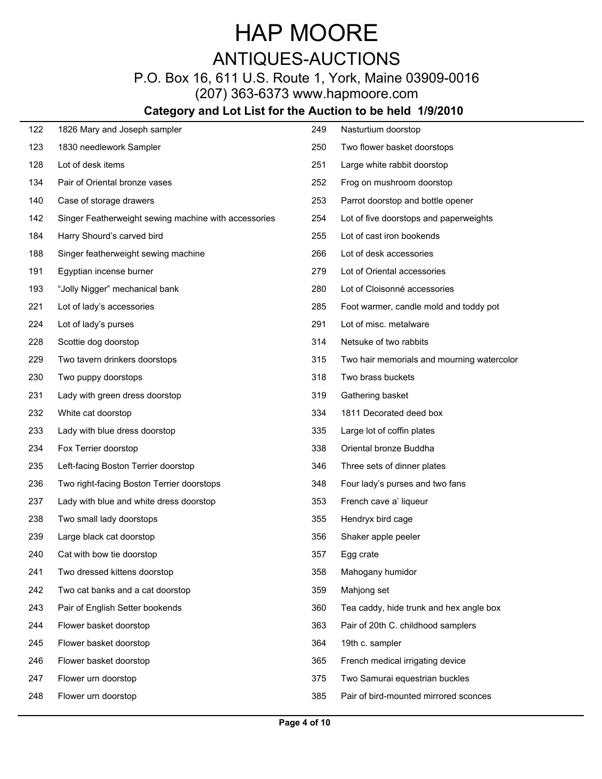## ANTIQUES-AUCTIONS

## P.O. Box 16, 611 U.S. Route 1, York, Maine 03909-0016

(207) 363-6373 www.hapmoore.com

| 122 | 1826 Mary and Joseph sampler                         | 249 | Nasturtium doorstop                        |
|-----|------------------------------------------------------|-----|--------------------------------------------|
| 123 | 1830 needlework Sampler                              | 250 | Two flower basket doorstops                |
| 128 | Lot of desk items                                    | 251 | Large white rabbit doorstop                |
| 134 | Pair of Oriental bronze vases                        | 252 | Frog on mushroom doorstop                  |
| 140 | Case of storage drawers                              | 253 | Parrot doorstop and bottle opener          |
| 142 | Singer Featherweight sewing machine with accessories | 254 | Lot of five doorstops and paperweights     |
| 184 | Harry Shourd's carved bird                           | 255 | Lot of cast iron bookends                  |
| 188 | Singer featherweight sewing machine                  | 266 | Lot of desk accessories                    |
| 191 | Egyptian incense burner                              | 279 | Lot of Oriental accessories                |
| 193 | "Jolly Nigger" mechanical bank                       | 280 | Lot of Cloisonné accessories               |
| 221 | Lot of lady's accessories                            | 285 | Foot warmer, candle mold and toddy pot     |
| 224 | Lot of lady's purses                                 | 291 | Lot of misc. metalware                     |
| 228 | Scottie dog doorstop                                 | 314 | Netsuke of two rabbits                     |
| 229 | Two tavern drinkers doorstops                        | 315 | Two hair memorials and mourning watercolor |
| 230 | Two puppy doorstops                                  | 318 | Two brass buckets                          |
| 231 | Lady with green dress doorstop                       | 319 | Gathering basket                           |
| 232 | White cat doorstop                                   | 334 | 1811 Decorated deed box                    |
| 233 | Lady with blue dress doorstop                        | 335 | Large lot of coffin plates                 |
| 234 | Fox Terrier doorstop                                 | 338 | Oriental bronze Buddha                     |
| 235 | Left-facing Boston Terrier doorstop                  | 346 | Three sets of dinner plates                |
| 236 | Two right-facing Boston Terrier doorstops            | 348 | Four lady's purses and two fans            |
| 237 | Lady with blue and white dress doorstop              | 353 | French cave a' liqueur                     |
| 238 | Two small lady doorstops                             | 355 | Hendryx bird cage                          |
| 239 | Large black cat doorstop                             | 356 | Shaker apple peeler                        |
| 240 | Cat with bow tie doorstop                            | 357 | Egg crate                                  |
| 241 | Two dressed kittens doorstop                         | 358 | Mahogany humidor                           |
| 242 | Two cat banks and a cat doorstop                     | 359 | Mahjong set                                |
| 243 | Pair of English Setter bookends                      | 360 | Tea caddy, hide trunk and hex angle box    |
| 244 | Flower basket doorstop                               | 363 | Pair of 20th C. childhood samplers         |
| 245 | Flower basket doorstop                               | 364 | 19th c. sampler                            |
| 246 | Flower basket doorstop                               | 365 | French medical irrigating device           |
| 247 | Flower urn doorstop                                  | 375 | Two Samurai equestrian buckles             |
| 248 | Flower urn doorstop                                  | 385 | Pair of bird-mounted mirrored sconces      |
|     |                                                      |     |                                            |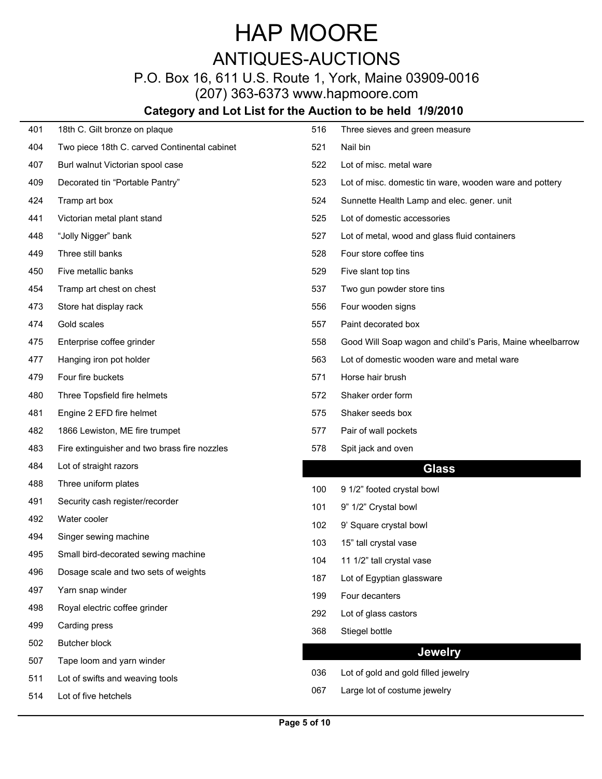## ANTIQUES-AUCTIONS

## P.O. Box 16, 611 U.S. Route 1, York, Maine 03909-0016

(207) 363-6373 www.hapmoore.com

| 401 | 18th C. Gilt bronze on plaque                | 516 | Three sieves and green measure                            |
|-----|----------------------------------------------|-----|-----------------------------------------------------------|
| 404 | Two piece 18th C. carved Continental cabinet | 521 | Nail bin                                                  |
| 407 | Burl walnut Victorian spool case             | 522 | Lot of misc. metal ware                                   |
| 409 | Decorated tin "Portable Pantry"              | 523 | Lot of misc. domestic tin ware, wooden ware and pottery   |
| 424 | Tramp art box                                | 524 | Sunnette Health Lamp and elec. gener. unit                |
| 441 | Victorian metal plant stand                  | 525 | Lot of domestic accessories                               |
| 448 | "Jolly Nigger" bank                          | 527 | Lot of metal, wood and glass fluid containers             |
| 449 | Three still banks                            | 528 | Four store coffee tins                                    |
| 450 | Five metallic banks                          | 529 | Five slant top tins                                       |
| 454 | Tramp art chest on chest                     | 537 | Two gun powder store tins                                 |
| 473 | Store hat display rack                       | 556 | Four wooden signs                                         |
| 474 | Gold scales                                  | 557 | Paint decorated box                                       |
| 475 | Enterprise coffee grinder                    | 558 | Good Will Soap wagon and child's Paris, Maine wheelbarrow |
| 477 | Hanging iron pot holder                      | 563 | Lot of domestic wooden ware and metal ware                |
| 479 | Four fire buckets                            | 571 | Horse hair brush                                          |
| 480 | Three Topsfield fire helmets                 | 572 | Shaker order form                                         |
| 481 | Engine 2 EFD fire helmet                     | 575 | Shaker seeds box                                          |
| 482 | 1866 Lewiston, ME fire trumpet               | 577 | Pair of wall pockets                                      |
| 483 | Fire extinguisher and two brass fire nozzles | 578 | Spit jack and oven                                        |
| 484 | Lot of straight razors                       |     | <b>Glass</b>                                              |
| 488 | Three uniform plates                         | 100 | 9 1/2" footed crystal bowl                                |
| 491 | Security cash register/recorder              | 101 | 9" 1/2" Crystal bowl                                      |
| 492 | Water cooler                                 | 102 | 9' Square crystal bowl                                    |
| 494 | Singer sewing machine                        | 103 | 15" tall crystal vase                                     |
| 495 | Small bird-decorated sewing machine          | 104 | 11 1/2" tall crystal vase                                 |
| 496 | Dosage scale and two sets of weights         | 187 | Lot of Egyptian glassware                                 |
| 497 | Yarn snap winder                             | 199 | Four decanters                                            |
| 498 | Royal electric coffee grinder                | 292 | Lot of glass castors                                      |
| 499 | Carding press                                | 368 | Stiegel bottle                                            |
| 502 | Butcher block                                |     |                                                           |
| 507 | Tape loom and yarn winder                    |     | <b>Jewelry</b>                                            |
| 511 | Lot of swifts and weaving tools              | 036 | Lot of gold and gold filled jewelry                       |
| 514 | Lot of five hetchels                         | 067 | Large lot of costume jewelry                              |
|     |                                              |     |                                                           |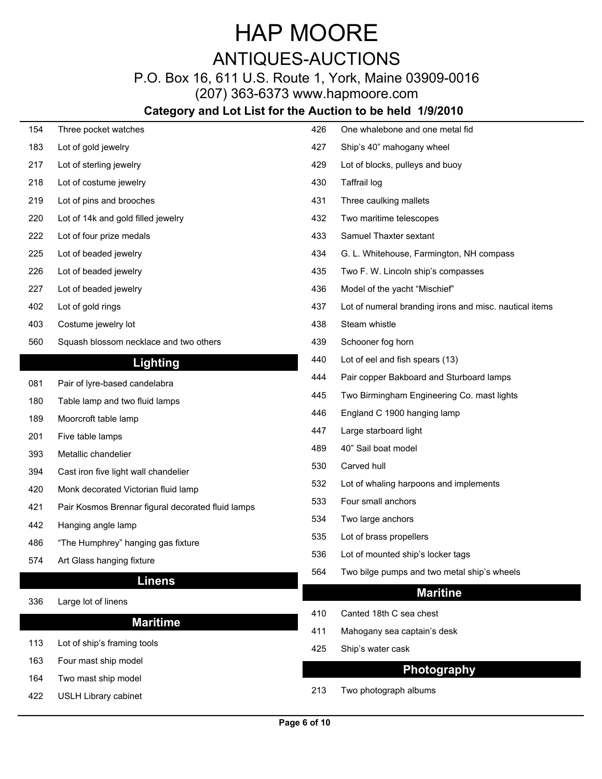## P.O. Box 16, 611 U.S. Route 1, York, Maine 03909-0016

(207) 363-6373 www.hapmoore.com

| 154 | Three pocket watches                              | 426 | One whalebone and one metal fid                        |
|-----|---------------------------------------------------|-----|--------------------------------------------------------|
| 183 | Lot of gold jewelry                               | 427 | Ship's 40" mahogany wheel                              |
| 217 | Lot of sterling jewelry                           | 429 | Lot of blocks, pulleys and buoy                        |
| 218 | Lot of costume jewelry                            | 430 | Taffrail log                                           |
| 219 | Lot of pins and brooches                          | 431 | Three caulking mallets                                 |
| 220 | Lot of 14k and gold filled jewelry                | 432 | Two maritime telescopes                                |
| 222 | Lot of four prize medals                          | 433 | Samuel Thaxter sextant                                 |
| 225 | Lot of beaded jewelry                             | 434 | G. L. Whitehouse, Farmington, NH compass               |
| 226 | Lot of beaded jewelry                             | 435 | Two F. W. Lincoln ship's compasses                     |
| 227 | Lot of beaded jewelry                             | 436 | Model of the yacht "Mischief"                          |
| 402 | Lot of gold rings                                 | 437 | Lot of numeral branding irons and misc. nautical items |
| 403 | Costume jewelry lot                               | 438 | Steam whistle                                          |
| 560 | Squash blossom necklace and two others            | 439 | Schooner fog horn                                      |
|     | <b>Lighting</b>                                   | 440 | Lot of eel and fish spears (13)                        |
| 081 | Pair of lyre-based candelabra                     | 444 | Pair copper Bakboard and Sturboard lamps               |
| 180 | Table lamp and two fluid lamps                    | 445 | Two Birmingham Engineering Co. mast lights             |
| 189 | Moorcroft table lamp                              | 446 | England C 1900 hanging lamp                            |
| 201 | Five table lamps                                  | 447 | Large starboard light                                  |
| 393 | Metallic chandelier                               | 489 | 40" Sail boat model                                    |
| 394 | Cast iron five light wall chandelier              | 530 | Carved hull                                            |
| 420 | Monk decorated Victorian fluid lamp               | 532 | Lot of whaling harpoons and implements                 |
| 421 | Pair Kosmos Brennar figural decorated fluid lamps | 533 | Four small anchors                                     |
| 442 | Hanging angle lamp                                | 534 | Two large anchors                                      |
| 486 | "The Humphrey" hanging gas fixture                | 535 | Lot of brass propellers                                |
|     |                                                   | 536 | Lot of mounted ship's locker tags                      |
| 574 | Art Glass hanging fixture                         | 564 | Two bilge pumps and two metal ship's wheels            |
|     | <b>Linens</b>                                     |     | <b>Maritine</b>                                        |
| 336 | Large lot of linens                               | 410 | Canted 18th C sea chest                                |
|     | <b>Maritime</b>                                   | 411 | Mahogany sea captain's desk                            |
| 113 | Lot of ship's framing tools                       | 425 | Ship's water cask                                      |
| 163 | Four mast ship model                              |     |                                                        |
| 164 | Two mast ship model                               |     | <b>Photography</b>                                     |
| 422 | <b>USLH Library cabinet</b>                       | 213 | Two photograph albums                                  |
|     |                                                   |     |                                                        |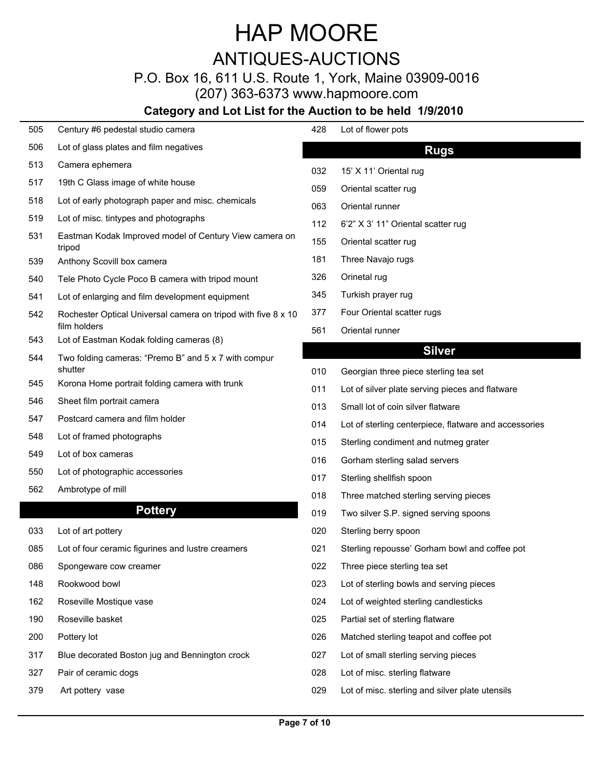### ANTIQUES-AUCTIONS

### P.O. Box 16, 611 U.S. Route 1, York, Maine 03909-0016

(207) 363-6373 www.hapmoore.com

| 505  | Century #6 pedestal studio camera                                | 428                  | Lot of flower pots                                                    |
|------|------------------------------------------------------------------|----------------------|-----------------------------------------------------------------------|
| 506  | Lot of glass plates and film negatives                           |                      | <b>Rugs</b>                                                           |
| 513  | Camera ephemera                                                  | 032                  | 15' X 11' Oriental rug                                                |
| 517  | 19th C Glass image of white house                                | 059                  | Oriental scatter rug                                                  |
| 518  | Lot of early photograph paper and misc. chemicals                | 063                  | Oriental runner                                                       |
| 519  | Lot of misc. tintypes and photographs                            | 112                  | 6'2" X 3' 11" Oriental scatter rug                                    |
| 531  | Eastman Kodak Improved model of Century View camera on<br>tripod | 155                  | Oriental scatter rug                                                  |
| 539  | Anthony Scovill box camera                                       | 181                  | Three Navajo rugs                                                     |
| 540  | Tele Photo Cycle Poco B camera with tripod mount                 | 326                  | Orinetal rug                                                          |
| 541  | Lot of enlarging and film development equipment                  | 345                  | Turkish prayer rug                                                    |
| 542  | Rochester Optical Universal camera on tripod with five 8 x 10    | 377                  | Four Oriental scatter rugs                                            |
| 543  | film holders<br>Lot of Eastman Kodak folding cameras (8)         | 561                  | Oriental runner                                                       |
| 544  | Two folding cameras: "Premo B" and 5 x 7 with compur             |                      | <b>Silver</b>                                                         |
|      | shutter                                                          | 010                  | Georgian three piece sterling tea set                                 |
| 545  | Korona Home portrait folding camera with trunk                   | 011                  | Lot of silver plate serving pieces and flatware                       |
| 546  | Sheet film portrait camera                                       | 013                  | Small lot of coin silver flatware                                     |
| 547  | Postcard camera and film holder                                  | 014                  | Lot of sterling centerpiece, flatware and accessories                 |
| 548  | Lot of framed photographs                                        | 015                  | Sterling condiment and nutmeg grater                                  |
| 549  | Lot of box cameras                                               | 016                  | Gorham sterling salad servers                                         |
| 550  | Lot of photographic accessories                                  | 017                  | Sterling shellfish spoon                                              |
| 562  | Ambrotype of mill                                                | 018                  | Three matched sterling serving pieces                                 |
|      | <b>Pottery</b>                                                   | 019                  | Two silver S.P. signed serving spoons                                 |
| 033  | Lot of art pottery                                               | 020                  | Sterling berry spoon                                                  |
| 085  | Lot of four ceramic figurines and lustre creamers                | 021                  | Sterling repousse' Gorham bowl and coffee pot                         |
| 086  | Spongeware cow creamer                                           | 022                  | Three piece sterling tea set                                          |
| 148  | Rookwood bowl                                                    | 023                  | Lot of sterling bowls and serving pieces                              |
| $ -$ |                                                                  | $\sim$ $\sim$ $\sim$ | $\mathbf{r}$ , and $\mathbf{r}$ , and $\mathbf{r}$ , and $\mathbf{r}$ |

- 
- 
- 317 Blue decorated Boston jug and Bennington crock 027
- 
- 

| 428 | Lot of flower pots                                    |
|-----|-------------------------------------------------------|
|     | <b>Rugs</b>                                           |
| 032 | 15' X 11' Oriental rug                                |
| 059 | Oriental scatter rug                                  |
| 063 | Oriental runner                                       |
| 112 | 6'2" X 3' 11" Oriental scatter rug                    |
| 155 | Oriental scatter rug                                  |
| 181 | Three Navajo rugs                                     |
| 326 | Orinetal rug                                          |
| 345 | Turkish prayer rug                                    |
| 377 | Four Oriental scatter rugs                            |
| 561 | Oriental runner                                       |
|     | <b>Silver</b>                                         |
| 010 | Georgian three piece sterling tea set                 |
| 011 | Lot of silver plate serving pieces and flatware       |
| 013 | Small lot of coin silver flatware                     |
| 014 | Lot of sterling centerpiece, flatware and accessories |
|     |                                                       |

- 
- 
- 017 Sterling shellfish spoon
- 
- 019 Two silver S.P. signed serving spoons
- 
- 
- 
- 
- 162 Roseville Mostique vase 120.000 minutes in the United Sterling candlesticks and Muslim conduction of the U
- 190 Roseville basket 120.000 in the sterling flatware 120.000 Metal set of sterling flatware 120.000 Metal set of sterling flatware 120.000 Metal set of sterling flatware 120.000 Metal set of sterling flatware 120.000 Meta
- Pottery lot 120.00 026 Matched sterling teapot and coffee pot 120.00
	- Lot of small sterling serving pieces
- 327 Pair of ceramic dogs 120.000 misc. sterling flatware 120.000 misc. sterling flatware 120.000 misc. sterling flatware
- 379 Art pottery vase 120.000 in the 120.000 misc. sterling and silver plate utensils 120.000 misc. sterling and silver plate utensils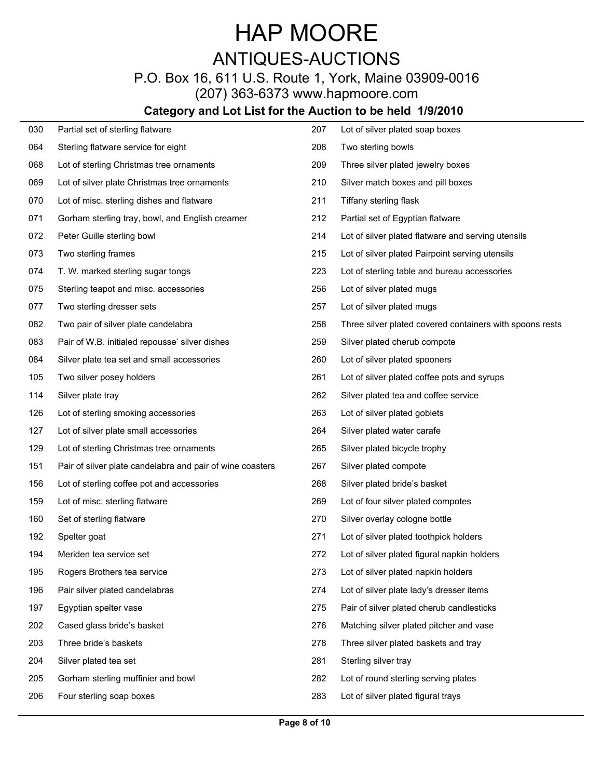### P.O. Box 16, 611 U.S. Route 1, York, Maine 03909-0016

(207) 363-6373 www.hapmoore.com

| 030 | Partial set of sterling flatware                          | 207 | Lot of silver plated soap boxes                          |
|-----|-----------------------------------------------------------|-----|----------------------------------------------------------|
| 064 | Sterling flatware service for eight                       | 208 | Two sterling bowls                                       |
| 068 | Lot of sterling Christmas tree ornaments                  | 209 | Three silver plated jewelry boxes                        |
| 069 | Lot of silver plate Christmas tree ornaments              | 210 | Silver match boxes and pill boxes                        |
| 070 | Lot of misc. sterling dishes and flatware                 | 211 | Tiffany sterling flask                                   |
| 071 | Gorham sterling tray, bowl, and English creamer           | 212 | Partial set of Egyptian flatware                         |
| 072 | Peter Guille sterling bowl                                | 214 | Lot of silver plated flatware and serving utensils       |
| 073 | Two sterling frames                                       | 215 | Lot of silver plated Pairpoint serving utensils          |
| 074 | T. W. marked sterling sugar tongs                         | 223 | Lot of sterling table and bureau accessories             |
| 075 | Sterling teapot and misc. accessories                     | 256 | Lot of silver plated mugs                                |
| 077 | Two sterling dresser sets                                 | 257 | Lot of silver plated mugs                                |
| 082 | Two pair of silver plate candelabra                       | 258 | Three silver plated covered containers with spoons rests |
| 083 | Pair of W.B. initialed repousse' silver dishes            | 259 | Silver plated cherub compote                             |
| 084 | Silver plate tea set and small accessories                | 260 | Lot of silver plated spooners                            |
| 105 | Two silver posey holders                                  | 261 | Lot of silver plated coffee pots and syrups              |
| 114 | Silver plate tray                                         | 262 | Silver plated tea and coffee service                     |
| 126 | Lot of sterling smoking accessories                       | 263 | Lot of silver plated goblets                             |
| 127 | Lot of silver plate small accessories                     | 264 | Silver plated water carafe                               |
| 129 | Lot of sterling Christmas tree ornaments                  | 265 | Silver plated bicycle trophy                             |
| 151 | Pair of silver plate candelabra and pair of wine coasters | 267 | Silver plated compote                                    |
| 156 | Lot of sterling coffee pot and accessories                | 268 | Silver plated bride's basket                             |
| 159 | Lot of misc. sterling flatware                            | 269 | Lot of four silver plated compotes                       |
| 160 | Set of sterling flatware                                  | 270 | Silver overlay cologne bottle                            |
| 192 | Spelter goat                                              | 271 | Lot of silver plated toothpick holders                   |
| 194 | Meriden tea service set                                   | 272 | Lot of silver plated figural napkin holders              |
| 195 | Rogers Brothers tea service                               | 273 | Lot of silver plated napkin holders                      |
| 196 | Pair silver plated candelabras                            | 274 | Lot of silver plate lady's dresser items                 |
| 197 | Egyptian spelter vase                                     | 275 | Pair of silver plated cherub candlesticks                |
| 202 | Cased glass bride's basket                                | 276 | Matching silver plated pitcher and vase                  |
| 203 | Three bride's baskets                                     | 278 | Three silver plated baskets and tray                     |
| 204 | Silver plated tea set                                     | 281 | Sterling silver tray                                     |
| 205 | Gorham sterling muffinier and bowl                        | 282 | Lot of round sterling serving plates                     |
| 206 | Four sterling soap boxes                                  | 283 | Lot of silver plated figural trays                       |
|     |                                                           |     |                                                          |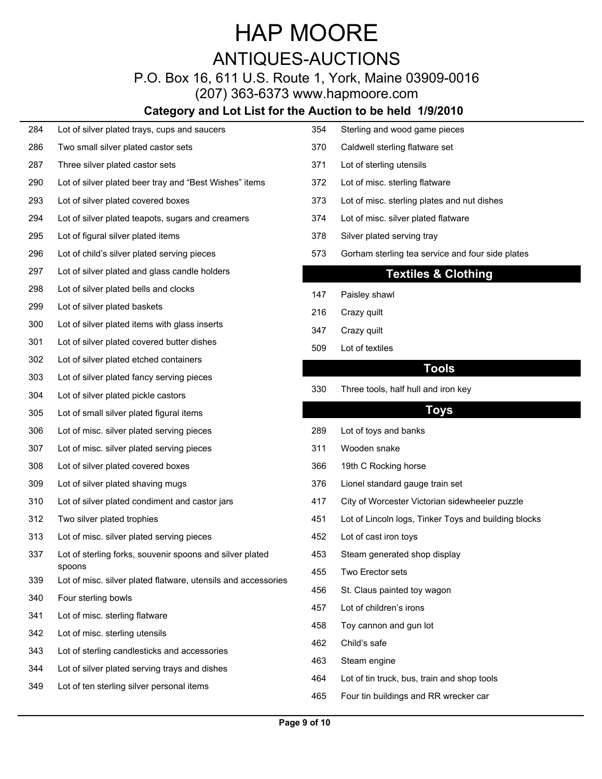### P.O. Box 16, 611 U.S. Route 1, York, Maine 03909-0016

(207) 363-6373 www.hapmoore.com

#### **Category and Lot List for the Auction to be held 1/9/2010**

- 284 Lot of silver plated trays, cups and saucers 120.00
- 286 Two small silver plated castor sets 120.000 120.000 120.000 120.000 120.000 120.000 120.000 120.000 120.000
- 287 Three silver plated castor sets 120.000 and 120.000 and 120.000 and 120.000 and 120.000 and 120.000 and 120.000 and 120.000 and 120.000 and 120.000 and 120.000 and 120.000 and 120.000 and 120.000 and 120.000 and 120.00
- 290 Lot of silver plated beer tray and "Best Wishes" items 172
- 
- 294 Lot of silver plated teapots, sugars and creamers 1274
- 295 Lot of figural silver plated items 120.000 nm in 120.000 nm in 120.000 nm in 120.000 nm in 120.000 nm in 1
- 
- 297 Lot of silver plated and glass candle holders
- 298 Lot of silver plated bells and clocks 147 Paisley shawl
- 299 Lot of silver plated baskets 120.000 and 216 Crazy quilt
- 300 Lot of silver plated items with glass inserts 120.000 120.000 120.000 120.000
- 301 Lot of silver plated covered butter dishes<br>509 Lot of textiles
- 302 Lot of silver plated etched containers
- 303 Lot of silver plated fancy serving pieces
- 304 Lot of silver plated pickle castors 120.000 mm and 120.000 mm and 120.000 mm and 120.000 mm and 120.000 mm and 120.000 mm and 120.000 mm and 120.000 mm and 120.000 mm and 120.000 mm and 120.000 mm and 120.000 mm and 12
- 305 Lot of small silver plated figural items
- 306 Lot of misc. silver plated serving pieces 1289
- 307 Lot of misc. silver plated serving pieces 120.000 1311 Wooden snake
- 308 Lot of silver plated covered boxes 120.000 mm and 120.000 mm and 120.000 mm and 120.000 mm and 120.000
- 309 Lot of silver plated shaving mugs 120.00 376 Lionel standard gauge train set 120.00
- 310 Lot of silver plated condiment and castor jars 120.000 version to the 117 City of Worcester Victorian sidewheeler puzzle
- 
- 313 Lot of misc. silver plated serving pieces 120.000 and 452 Lot of cast iron toys
- 337 Lot of sterling forks, souvenir spoons and silver plated 453 Steam generated shop display spoons
- 339 Lot of misc. silver plated flatware, utensils and accessories 456
- 340 Four sterling bowls 120.000 and 120.000 and 120.000 and 120.000 and 120.000 and 120.000 and 120.000 and 120.000 and 120.000 and 120.000 and 120.000 and 120.000 and 120.000 and 120.000 and 120.000 and 120.000 and 120.00
- 341 Lot of misc. sterling flatware 120.000 and 120.000 and 120.000 and 120.000 and 120.000 and 120.000 and 120
- 342 Lot of misc. sterling utensils 120.000 misc. sterling utensils 120.000 misc. sterling utensils 120.000 misc
- 343 Lot of sterling candlesticks and accessories 120.000 and 200.000 and 200.000 and 200.000 and 200.000 and 20<br>120.0000 and 200.000 and 200.000 and 200.000 and 200.000 and 200.000 and 200.000 and 200.000 and 200.000 and 2
- 344 Lot of silver plated serving trays and dishes 120.000 and 120.000 am
- 349 Lot of ten sterling silver personal items 120.000 Lot of ten sterling silver personal items 120.000 Lot 120.000
- Sterling and wood game pieces Caldwell sterling flatware set
- Lot of sterling utensils
- Lot of misc. sterling flatware
- 293 Lot of silver plated covered boxes 120.000 misc. sterling plates and nut dishes 120.000 misc. sterling plates and nut dishes
	- Lot of misc. silver plated flatware
	- Silver plated serving tray
- 296 Lot of child's silver plated serving pieces 120.000 millions of the sterling tea service and four side plates

#### **Textiles & Clothing**

- 147 Paisley shawl **120.000 Paisley shawl**
- 216 Crazy quilt 120.000 Crazy quilt
- 347 Crazy quilt 120.000 and 120.000 and 120.000 and 120.000 and 120.000 and 120.000 and 120.000 and 120.000 and 120.000 and 120.000 and 120.000 and 120.000 and 120.000 and 120.000 and 120.000 and 120.000 and 120.000 and 12
- 509 Lot of textiles 120.000 locations and the set of text in the set of the set of the set of the set of the set of the set of the set of the set of the set of the set of the set of the set of the set of the set of the set

#### **Tools**

Three tools, half hull and iron key

#### **Toys**

- Lot of toys and banks
- 311 Wooden snake 120.000 was also been also been also been also been also been also been also been also been a
- 19th C Rocking horse
- 
- 
- 312 Two silver plated trophies **120.000 CM 20.000 MBC 20.000 Lot of Lincoln** logs, Tinker Toys and building blocks
	- 452 Lot of cast iron toys 120.000 Metal of the United States 120.000 Metal of the United States 120.000 Metal o
	- 453 Steam generated shop display
	- 455 Two Erector sets 120.000 Ference 120.000 Ference 120.000 Ference 120.000 Ference 120.000 Ference 120.000 Ference 120.000 Ference 120.000 Ference 120.000 Ference 120.000 Ference 120.000 Ference 120.000 Ference 120.000 F
	- St. Claus painted toy wagon
	- 457 Lot of children's irons 120.000 and 120.000 and 120.000 and 120.000 and 120.000 and 120.000 and 120.000 and 120.000 and 120.000 and 120.000 and 120.000 and 120.000 and 120.000 and 120.000 and 120.000 and 120.000 and 12
	- Toy cannon and gun lot
	- 462 Child's safe
	- 463 Steam engine 120.000 Steam and the 120.000 Steam and the 120.000 Steam and the 120.000 Steam and the 120.000 Steam and the 120.000 Steam and the 120.000 Steam and the 120.000 Steam and the 120.000 Steam and the 120.000
	- Lot of tin truck, bus, train and shop tools
	- Four tin buildings and RR wrecker car